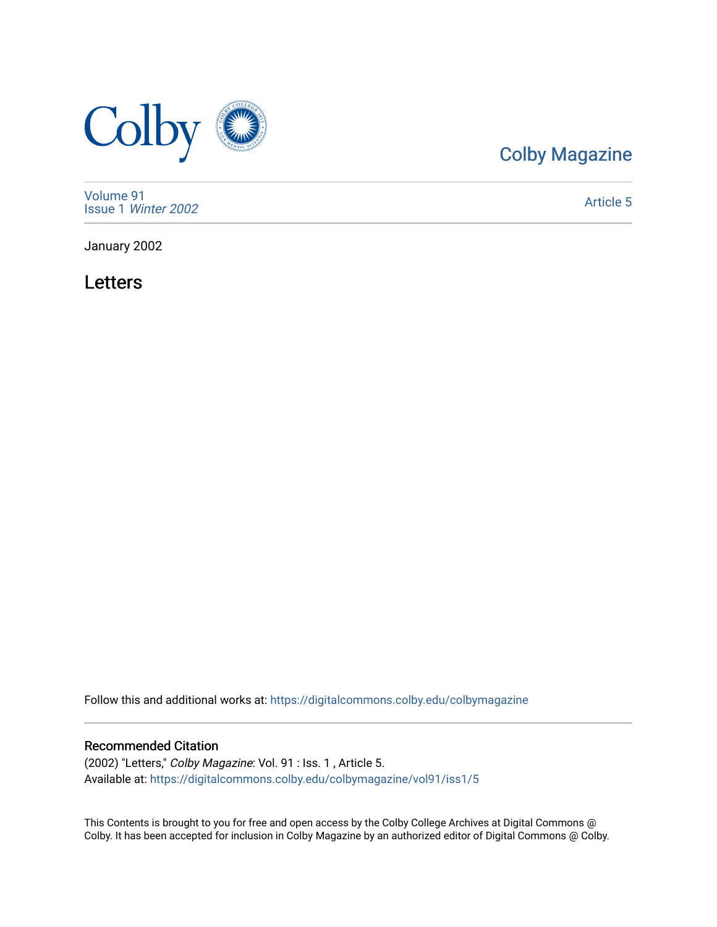

# [Colby Magazine](https://digitalcommons.colby.edu/colbymagazine)

[Volume 91](https://digitalcommons.colby.edu/colbymagazine/vol91) Issue 1 [Winter 2002](https://digitalcommons.colby.edu/colbymagazine/vol91/iss1) 

[Article 5](https://digitalcommons.colby.edu/colbymagazine/vol91/iss1/5) 

January 2002

Letters

Follow this and additional works at: [https://digitalcommons.colby.edu/colbymagazine](https://digitalcommons.colby.edu/colbymagazine?utm_source=digitalcommons.colby.edu%2Fcolbymagazine%2Fvol91%2Fiss1%2F5&utm_medium=PDF&utm_campaign=PDFCoverPages)

## Recommended Citation

(2002) "Letters," Colby Magazine: Vol. 91 : Iss. 1 , Article 5. Available at: [https://digitalcommons.colby.edu/colbymagazine/vol91/iss1/5](https://digitalcommons.colby.edu/colbymagazine/vol91/iss1/5?utm_source=digitalcommons.colby.edu%2Fcolbymagazine%2Fvol91%2Fiss1%2F5&utm_medium=PDF&utm_campaign=PDFCoverPages)

This Contents is brought to you for free and open access by the Colby College Archives at Digital Commons @ Colby. It has been accepted for inclusion in Colby Magazine by an authorized editor of Digital Commons @ Colby.